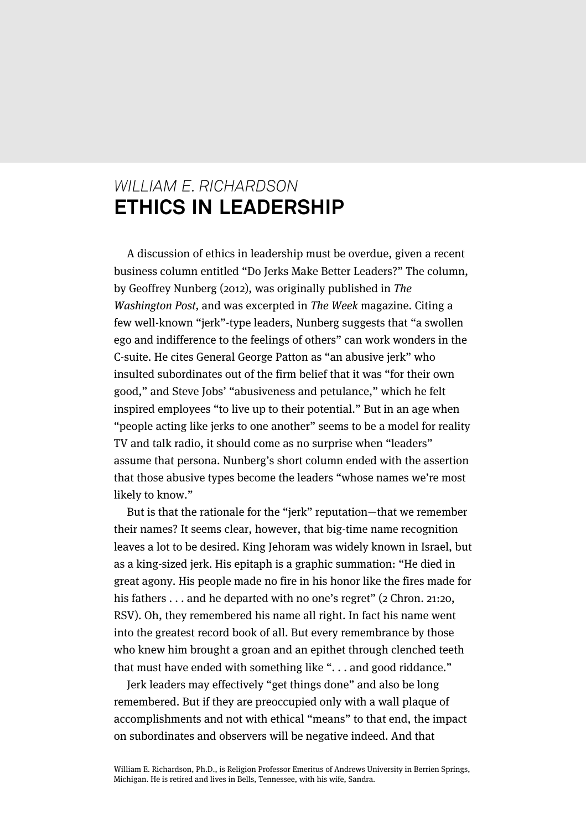## *WILLIAM E. RICHARDSON* **ETHICS IN LEADERSHIP**

A discussion of ethics in leadership must be overdue, given a recent business column entitled "Do Jerks Make Better Leaders?" The column, by Geoffrey Nunberg (2012), was originally published in The Washington Post, and was excerpted in The Week magazine. Citing a few well-known "jerk"-type leaders, Nunberg suggests that "a swollen ego and indifference to the feelings of others" can work wonders in the C-suite. He cites General George Patton as "an abusive jerk" who insulted subordinates out of the firm belief that it was "for their own good," and Steve Jobs' "abusiveness and petulance," which he felt inspired employees "to live up to their potential." But in an age when "people acting like jerks to one another" seems to be a model for reality TV and talk radio, it should come as no surprise when "leaders" assume that persona. Nunberg's short column ended with the assertion that those abusive types become the leaders "whose names we're most likely to know."

But is that the rationale for the "jerk" reputation—that we remember their names? It seems clear, however, that big-time name recognition leaves a lot to be desired. King Jehoram was widely known in Israel, but as a king-sized jerk. His epitaph is a graphic summation: "He died in great agony. His people made no fire in his honor like the fires made for his fathers . . . and he departed with no one's regret" (2 Chron. 21:20, RSV). Oh, they remembered his name all right. In fact his name went into the greatest record book of all. But every remembrance by those who knew him brought a groan and an epithet through clenched teeth that must have ended with something like ". . . and good riddance."

Jerk leaders may effectively "get things done" and also be long remembered. But if they are preoccupied only with a wall plaque of accomplishments and not with ethical "means" to that end, the impact on subordinates and observers will be negative indeed. And that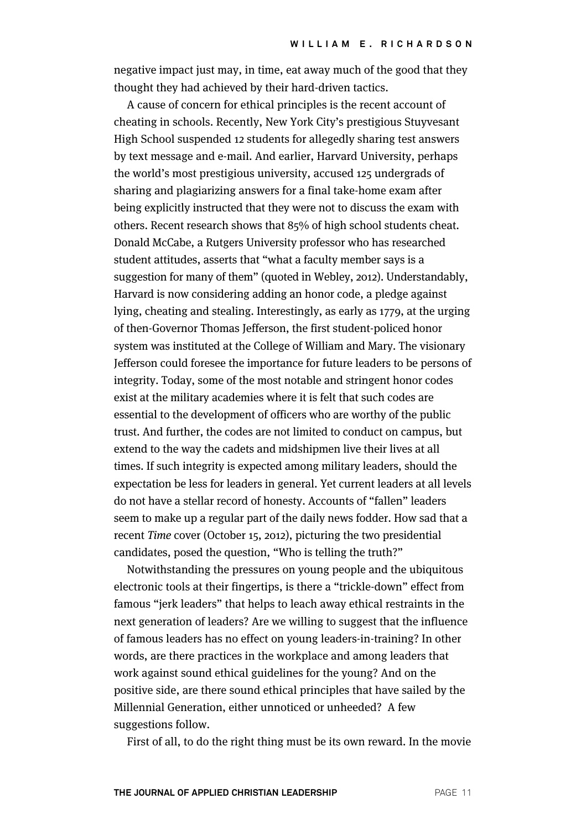negative impact just may, in time, eat away much of the good that they thought they had achieved by their hard-driven tactics.

A cause of concern for ethical principles is the recent account of cheating in schools. Recently, New York City's prestigious Stuyvesant High School suspended 12 students for allegedly sharing test answers by text message and e-mail. And earlier, Harvard University, perhaps the world's most prestigious university, accused 125 undergrads of sharing and plagiarizing answers for a final take-home exam after being explicitly instructed that they were not to discuss the exam with others. Recent research shows that 85% of high school students cheat. Donald McCabe, a Rutgers University professor who has researched student attitudes, asserts that "what a faculty member says is a suggestion for many of them" (quoted in Webley, 2012). Understandably, Harvard is now considering adding an honor code, a pledge against lying, cheating and stealing. Interestingly, as early as 1779, at the urging of then-Governor Thomas Jefferson, the first student-policed honor system was instituted at the College of William and Mary. The visionary Jefferson could foresee the importance for future leaders to be persons of integrity. Today, some of the most notable and stringent honor codes exist at the military academies where it is felt that such codes are essential to the development of officers who are worthy of the public trust. And further, the codes are not limited to conduct on campus, but extend to the way the cadets and midshipmen live their lives at all times. If such integrity is expected among military leaders, should the expectation be less for leaders in general. Yet current leaders at all levels do not have a stellar record of honesty. Accounts of "fallen" leaders seem to make up a regular part of the daily news fodder. How sad that a recent Time cover (October 15, 2012), picturing the two presidential candidates, posed the question, "Who is telling the truth?"

Notwithstanding the pressures on young people and the ubiquitous electronic tools at their fingertips, is there a "trickle-down" effect from famous "jerk leaders" that helps to leach away ethical restraints in the next generation of leaders? Are we willing to suggest that the influence of famous leaders has no effect on young leaders-in-training? In other words, are there practices in the workplace and among leaders that work against sound ethical guidelines for the young? And on the positive side, are there sound ethical principles that have sailed by the Millennial Generation, either unnoticed or unheeded? A few suggestions follow.

First of all, to do the right thing must be its own reward. In the movie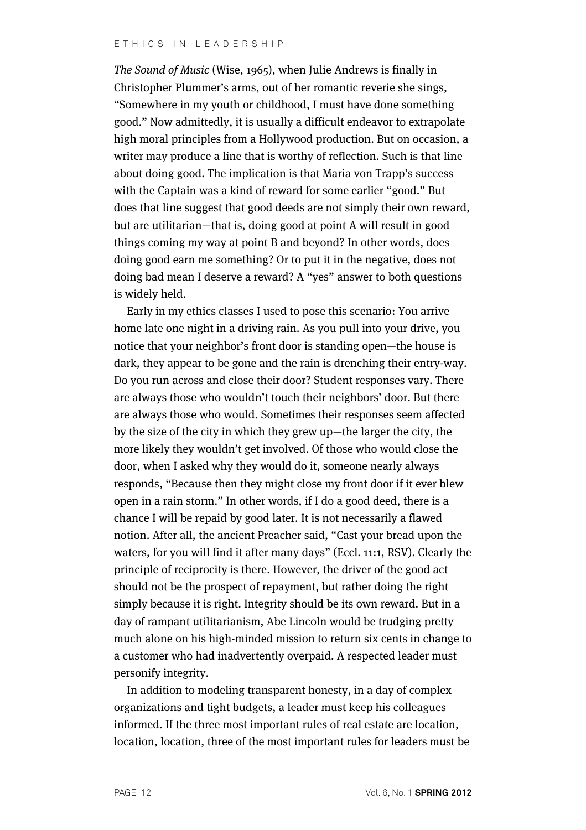The Sound of Music (Wise, 1965), when Julie Andrews is finally in Christopher Plummer's arms, out of her romantic reverie she sings, "Somewhere in my youth or childhood, I must have done something good." Now admittedly, it is usually a difficult endeavor to extrapolate high moral principles from a Hollywood production. But on occasion, a writer may produce a line that is worthy of reflection. Such is that line about doing good. The implication is that Maria von Trapp's success with the Captain was a kind of reward for some earlier "good." But does that line suggest that good deeds are not simply their own reward, but are utilitarian—that is, doing good at point A will result in good things coming my way at point B and beyond? In other words, does doing good earn me something? Or to put it in the negative, does not doing bad mean I deserve a reward? A "yes" answer to both questions is widely held.

Early in my ethics classes I used to pose this scenario: You arrive home late one night in a driving rain. As you pull into your drive, you notice that your neighbor's front door is standing open—the house is dark, they appear to be gone and the rain is drenching their entry-way. Do you run across and close their door? Student responses vary. There are always those who wouldn't touch their neighbors' door. But there are always those who would. Sometimes their responses seem affected by the size of the city in which they grew up—the larger the city, the more likely they wouldn't get involved. Of those who would close the door, when I asked why they would do it, someone nearly always responds, "Because then they might close my front door if it ever blew open in a rain storm." In other words, if I do a good deed, there is a chance I will be repaid by good later. It is not necessarily a flawed notion. After all, the ancient Preacher said, "Cast your bread upon the waters, for you will find it after many days" (Eccl. 11:1, RSV). Clearly the principle of reciprocity is there. However, the driver of the good act should not be the prospect of repayment, but rather doing the right simply because it is right. Integrity should be its own reward. But in a day of rampant utilitarianism, Abe Lincoln would be trudging pretty much alone on his high-minded mission to return six cents in change to a customer who had inadvertently overpaid. A respected leader must personify integrity.

In addition to modeling transparent honesty, in a day of complex organizations and tight budgets, a leader must keep his colleagues informed. If the three most important rules of real estate are location, location, location, three of the most important rules for leaders must be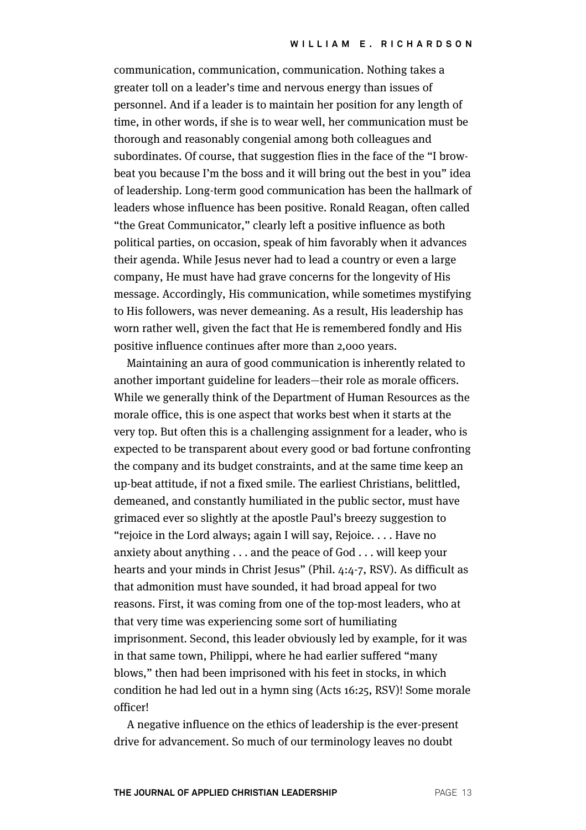communication, communication, communication. Nothing takes a greater toll on a leader's time and nervous energy than issues of personnel. And if a leader is to maintain her position for any length of time, in other words, if she is to wear well, her communication must be thorough and reasonably congenial among both colleagues and subordinates. Of course, that suggestion flies in the face of the "I browbeat you because I'm the boss and it will bring out the best in you" idea of leadership. Long-term good communication has been the hallmark of leaders whose influence has been positive. Ronald Reagan, often called "the Great Communicator," clearly left a positive influence as both political parties, on occasion, speak of him favorably when it advances their agenda. While Jesus never had to lead a country or even a large company, He must have had grave concerns for the longevity of His message. Accordingly, His communication, while sometimes mystifying to His followers, was never demeaning. As a result, His leadership has worn rather well, given the fact that He is remembered fondly and His positive influence continues after more than 2,000 years.

Maintaining an aura of good communication is inherently related to another important guideline for leaders—their role as morale officers. While we generally think of the Department of Human Resources as the morale office, this is one aspect that works best when it starts at the very top. But often this is a challenging assignment for a leader, who is expected to be transparent about every good or bad fortune confronting the company and its budget constraints, and at the same time keep an up-beat attitude, if not a fixed smile. The earliest Christians, belittled, demeaned, and constantly humiliated in the public sector, must have grimaced ever so slightly at the apostle Paul's breezy suggestion to "rejoice in the Lord always; again I will say, Rejoice. . . . Have no anxiety about anything . . . and the peace of God . . . will keep your hearts and your minds in Christ Jesus" (Phil. 4:4-7, RSV). As difficult as that admonition must have sounded, it had broad appeal for two reasons. First, it was coming from one of the top-most leaders, who at that very time was experiencing some sort of humiliating imprisonment. Second, this leader obviously led by example, for it was in that same town, Philippi, where he had earlier suffered "many blows," then had been imprisoned with his feet in stocks, in which condition he had led out in a hymn sing (Acts 16:25, RSV)! Some morale officer!

A negative influence on the ethics of leadership is the ever-present drive for advancement. So much of our terminology leaves no doubt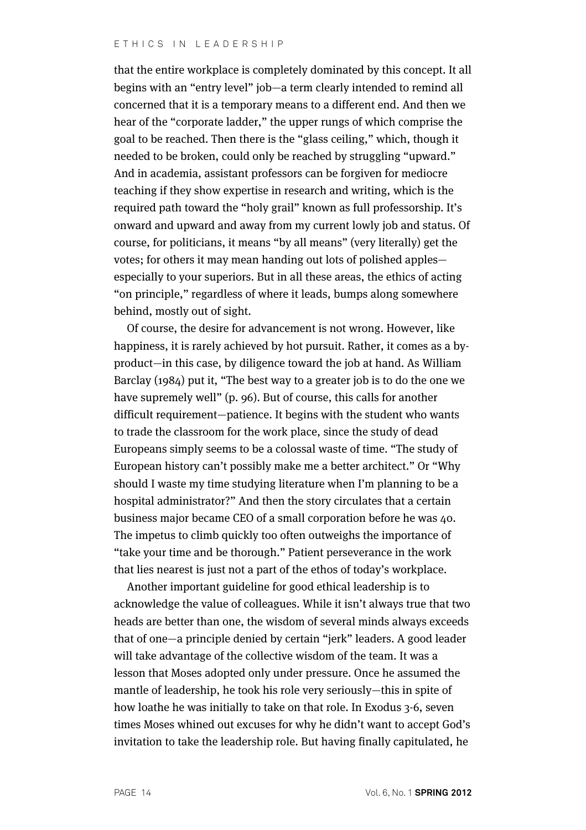that the entire workplace is completely dominated by this concept. It all begins with an "entry level" job—a term clearly intended to remind all concerned that it is a temporary means to a different end. And then we hear of the "corporate ladder," the upper rungs of which comprise the goal to be reached. Then there is the "glass ceiling," which, though it needed to be broken, could only be reached by struggling "upward." And in academia, assistant professors can be forgiven for mediocre teaching if they show expertise in research and writing, which is the required path toward the "holy grail" known as full professorship. It's onward and upward and away from my current lowly job and status. Of course, for politicians, it means "by all means" (very literally) get the votes; for others it may mean handing out lots of polished apples especially to your superiors. But in all these areas, the ethics of acting "on principle," regardless of where it leads, bumps along somewhere behind, mostly out of sight.

Of course, the desire for advancement is not wrong. However, like happiness, it is rarely achieved by hot pursuit. Rather, it comes as a byproduct—in this case, by diligence toward the job at hand. As William Barclay (1984) put it, "The best way to a greater job is to do the one we have supremely well" (p. 96). But of course, this calls for another difficult requirement—patience. It begins with the student who wants to trade the classroom for the work place, since the study of dead Europeans simply seems to be a colossal waste of time. "The study of European history can't possibly make me a better architect." Or "Why should I waste my time studying literature when I'm planning to be a hospital administrator?" And then the story circulates that a certain business major became CEO of a small corporation before he was 40. The impetus to climb quickly too often outweighs the importance of "take your time and be thorough." Patient perseverance in the work that lies nearest is just not a part of the ethos of today's workplace.

Another important guideline for good ethical leadership is to acknowledge the value of colleagues. While it isn't always true that two heads are better than one, the wisdom of several minds always exceeds that of one—a principle denied by certain "jerk" leaders. A good leader will take advantage of the collective wisdom of the team. It was a lesson that Moses adopted only under pressure. Once he assumed the mantle of leadership, he took his role very seriously—this in spite of how loathe he was initially to take on that role. In Exodus 3-6, seven times Moses whined out excuses for why he didn't want to accept God's invitation to take the leadership role. But having finally capitulated, he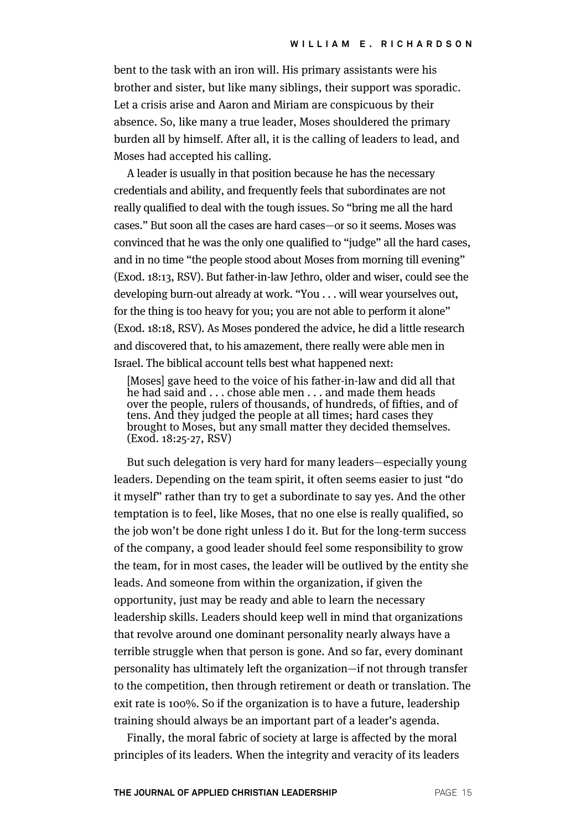bent to the task with an iron will. His primary assistants were his brother and sister, but like many siblings, their support was sporadic. Let a crisis arise and Aaron and Miriam are conspicuous by their absence. So, like many a true leader, Moses shouldered the primary burden all by himself. After all, it is the calling of leaders to lead, and Moses had accepted his calling.

A leader is usually in that position because he has the necessary credentials and ability, and frequently feels that subordinates are not really qualified to deal with the tough issues. So "bring me all the hard cases." But soon all the cases are hard cases—or so it seems. Moses was convinced that he was the only one qualified to "judge" all the hard cases, and in no time "the people stood about Moses from morning till evening" (Exod. 18:13, RSV). But father-in-law Jethro, older and wiser, could see the developing burn-out already at work. "You . . . will wear yourselves out, for the thing is too heavy for you; you are not able to perform it alone" (Exod. 18:18, RSV). As Moses pondered the advice, he did a little research and discovered that, to his amazement, there really were able men in Israel. The biblical account tells best what happened next:

[Moses] gave heed to the voice of his father-in-law and did all that he had said and . . . chose able men . . . and made them heads over the people, rulers of thousands, of hundreds, of fifties, and of tens. And they judged the people at all times; hard cases they brought to Moses, but any small matter they decided themselves. (Exod. 18:25-27, RSV)

But such delegation is very hard for many leaders—especially young leaders. Depending on the team spirit, it often seems easier to just "do it myself" rather than try to get a subordinate to say yes. And the other temptation is to feel, like Moses, that no one else is really qualified, so the job won't be done right unless I do it. But for the long-term success of the company, a good leader should feel some responsibility to grow the team, for in most cases, the leader will be outlived by the entity she leads. And someone from within the organization, if given the opportunity, just may be ready and able to learn the necessary leadership skills. Leaders should keep well in mind that organizations that revolve around one dominant personality nearly always have a terrible struggle when that person is gone. And so far, every dominant personality has ultimately left the organization—if not through transfer to the competition, then through retirement or death or translation. The exit rate is 100%. So if the organization is to have a future, leadership training should always be an important part of a leader's agenda.

Finally, the moral fabric of society at large is affected by the moral principles of its leaders. When the integrity and veracity of its leaders